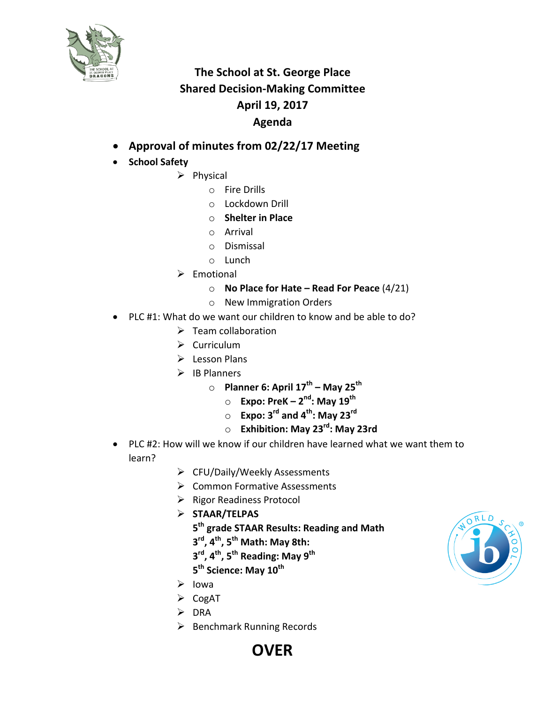

## **The School at St. George Place Shared Decision-Making Committee April 19, 2017 Agenda**

- **Approval of minutes from 02/22/17 Meeting**
- **School Safety**
	- $\triangleright$  Physical
		- $\circ$  Fire Drills
		- o Lockdown Drill
		- o **Shelter in Place**
		- o Arrival
		- o Dismissal
		- o Lunch
	- $\triangleright$  Emotional
		- o **No Place for Hate – Read For Peace** (4/21)
		- o New Immigration Orders
- PLC #1: What do we want our children to know and be able to do?
	- $\triangleright$  Team collaboration
	- $\triangleright$  Curriculum
	- $\triangleright$  Lesson Plans
	- $\triangleright$  IB Planners
		- o **Planner 6: April 17th – May 25th**
			- o **Expo: PreK – 2nd: May 19th**
			- o **Expo: 3rd and 4th: May 23rd**
			- o **Exhibition: May 23rd: May 23rd**
- PLC #2: How will we know if our children have learned what we want them to learn?
	- $\triangleright$  CFU/Daily/Weekly Assessments
	- $\triangleright$  Common Formative Assessments
	- $\triangleright$  Rigor Readiness Protocol
	- Ø **STAAR/TELPAS**
		- **5th grade STAAR Results: Reading and Math**
		- **3rd, 4th, 5th Math: May 8th:**
		- **3rd, 4th, 5th Reading: May 9th**
		- **5<sup>th</sup> Science: May 10<sup>th</sup>**
	- $\triangleright$  Iowa
	- $\triangleright$  CogAT
	- $\triangleright$  DRA
	- $\triangleright$  Benchmark Running Records



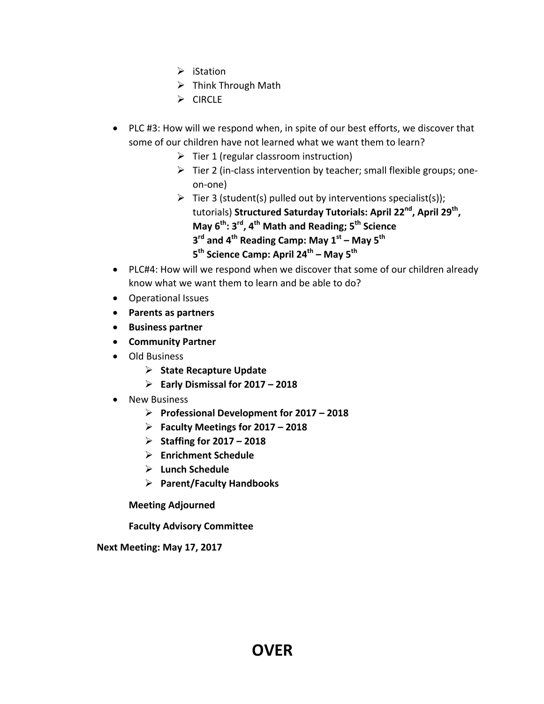- $\triangleright$  iStation
- $\triangleright$  Think Through Math
- $\triangleright$  CIRCLE
- PLC #3: How will we respond when, in spite of our best efforts, we discover that some of our children have not learned what we want them to learn?
	- $\triangleright$  Tier 1 (regular classroom instruction)
	- $\triangleright$  Tier 2 (in-class intervention by teacher; small flexible groups; oneon-one)
	- $\triangleright$  Tier 3 (student(s) pulled out by interventions specialist(s)); tutorials) **Structured Saturday Tutorials: April 22<sup>nd</sup>, April 29<sup>th</sup>, May 6th: 3rd, 4th Math and Reading; 5th Science 3rd and 4th Reading Camp: May 1st – May 5th 5th Science Camp: April 24th – May 5th**
- PLC#4: How will we respond when we discover that some of our children already know what we want them to learn and be able to do?
- Operational Issues
- **Parents as partners**
- **Business partner**
- **Community Partner**
- Old Business
	- Ø **State Recapture Update**
	- Ø **Early Dismissal for 2017 – 2018**
- New Business
	- Ø **Professional Development for 2017 – 2018**
	- Ø **Faculty Meetings for 2017 – 2018**
	- Ø **Staffing for 2017 – 2018**
	- Ø **Enrichment Schedule**
	- Ø **Lunch Schedule**
	- Ø **Parent/Faculty Handbooks**

**Meeting Adjourned**

**Faculty Advisory Committee**

**Next Meeting: May 17, 2017**